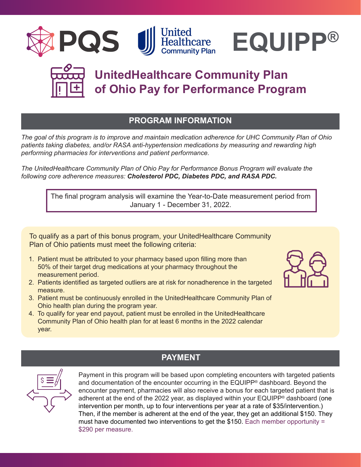





# **UnitedHealthcare Community Plan of Ohio Pay for Performance Program**

# **PROGRAM INFORMATION**

*The goal of this program is to improve and maintain medication adherence for UHC Community Plan of Ohio patients taking diabetes, and/or RASA anti-hypertension medications by measuring and rewarding high performing pharmacies for interventions and patient performance.*

*The UnitedHealthcare Community Plan of Ohio Pay for Performance Bonus Program will evaluate the following core adherence measures: Cholesterol PDC, Diabetes PDC, and RASA PDC.*

The final program analysis will examine the Year-to-Date measurement period from January 1 - December 31, 2022.

To qualify as a part of this bonus program, your UnitedHealthcare Community Plan of Ohio patients must meet the following criteria:

- 1. Patient must be attributed to your pharmacy based upon filling more than 50% of their target drug medications at your pharmacy throughout the measurement period.
- 2. Patients identified as targeted outliers are at risk for nonadherence in the targeted measure.
- 3. Patient must be continuously enrolled in the UnitedHealthcare Community Plan of Ohio health plan during the program year.
- 4. To qualify for year end payout, patient must be enrolled in the UnitedHealthcare Community Plan of Ohio health plan for at least 6 months in the 2022 calendar year.





# **PAYMENT**

Payment in this program will be based upon completing encounters with targeted patients and documentation of the encounter occurring in the EQUIPP® dashboard. Beyond the encounter payment, pharmacies will also receive a bonus for each targeted patient that is adherent at the end of the 2022 year, as displayed within your EQUIPP<sup>®</sup> dashboard (one intervention per month, up to four interventions per year at a rate of \$35/intervention.) Then, if the member is adherent at the end of the year, they get an additional \$150. They must have documented two interventions to get the \$150. Each member opportunity = \$290 per measure.